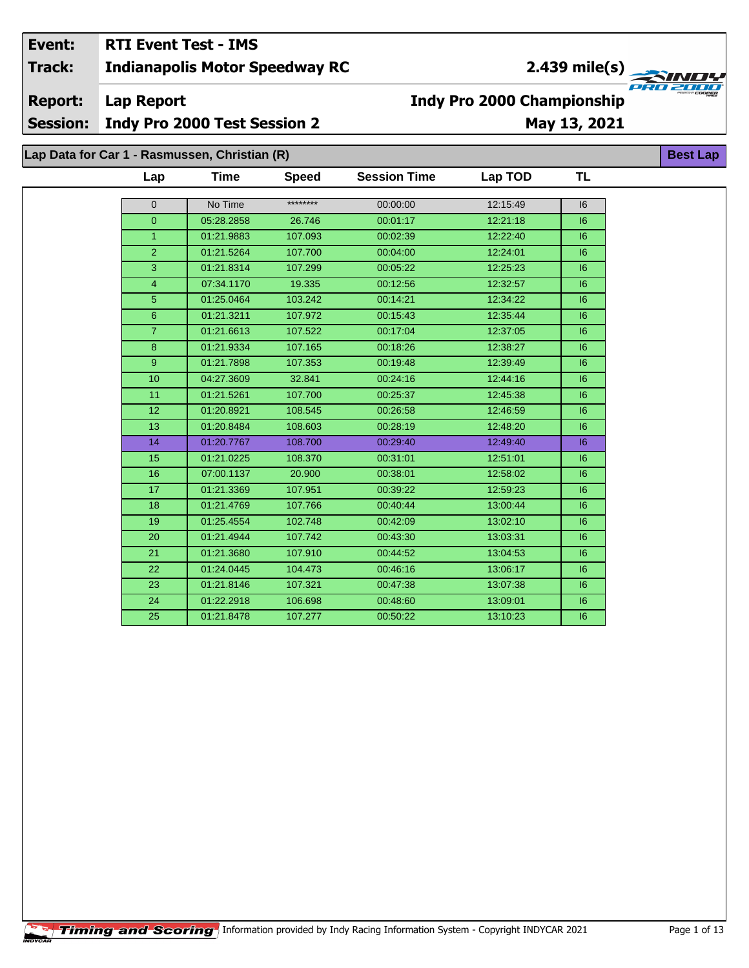## Event: **RTI Event Test - IMS**

**Indianapolis Motor Speedway RC Track:** 

2.439 mile(s)

**Report:** 

**Lap Report** 

**Session:** Indy Pro 2000 Test Session 2 May 13, 2021

**Best Lap** 

**Indy Pro 2000 Championship** 

Lap Data for Car 1 - Rasmussen, Christian (R)

| ********<br>No Time<br>$\mathbf{0}$<br>00:00:00<br>12:15:49<br>$\Omega$<br>05:28.2858<br>00:01:17<br>12:21:18<br>26.746<br>$\overline{1}$<br>107.093<br>01:21.9883<br>00:02:39<br>12:22:40<br>$\overline{2}$<br>01:21.5264<br>107.700<br>00:04:00<br>12:24:01<br>3<br>01:21.8314<br>107.299<br>00:05:22<br>12:25:23<br>$\overline{4}$<br>07:34.1170<br>19.335<br>00:12:56<br>12:32:57<br>5<br>103.242<br>01:25.0464<br>00:14:21<br>12:34:22<br>$6\phantom{1}6$<br>01:21.3211<br>107.972<br>00:15:43<br>12:35:44<br>$\overline{7}$<br>01:21.6613<br>107.522<br>00:17:04<br>12:37:05<br>8<br>107.165<br>01:21.9334<br>00:18:26<br>12:38:27<br>9<br>01:21.7898<br>107.353<br>00:19:48<br>12:39:49<br>10<br>04:27.3609<br>32.841<br>00:24:16<br>12:44:16<br>11<br>01:21.5261<br>107.700<br>00:25:37<br>12:45:38 | TL |
|-------------------------------------------------------------------------------------------------------------------------------------------------------------------------------------------------------------------------------------------------------------------------------------------------------------------------------------------------------------------------------------------------------------------------------------------------------------------------------------------------------------------------------------------------------------------------------------------------------------------------------------------------------------------------------------------------------------------------------------------------------------------------------------------------------------|----|
|                                                                                                                                                                                                                                                                                                                                                                                                                                                                                                                                                                                                                                                                                                                                                                                                             | 16 |
|                                                                                                                                                                                                                                                                                                                                                                                                                                                                                                                                                                                                                                                                                                                                                                                                             | 6  |
|                                                                                                                                                                                                                                                                                                                                                                                                                                                                                                                                                                                                                                                                                                                                                                                                             | 16 |
|                                                                                                                                                                                                                                                                                                                                                                                                                                                                                                                                                                                                                                                                                                                                                                                                             | 6  |
|                                                                                                                                                                                                                                                                                                                                                                                                                                                                                                                                                                                                                                                                                                                                                                                                             | 16 |
|                                                                                                                                                                                                                                                                                                                                                                                                                                                                                                                                                                                                                                                                                                                                                                                                             | 6  |
|                                                                                                                                                                                                                                                                                                                                                                                                                                                                                                                                                                                                                                                                                                                                                                                                             | 16 |
|                                                                                                                                                                                                                                                                                                                                                                                                                                                                                                                                                                                                                                                                                                                                                                                                             | 6  |
|                                                                                                                                                                                                                                                                                                                                                                                                                                                                                                                                                                                                                                                                                                                                                                                                             | 6  |
|                                                                                                                                                                                                                                                                                                                                                                                                                                                                                                                                                                                                                                                                                                                                                                                                             |    |
|                                                                                                                                                                                                                                                                                                                                                                                                                                                                                                                                                                                                                                                                                                                                                                                                             | 16 |
|                                                                                                                                                                                                                                                                                                                                                                                                                                                                                                                                                                                                                                                                                                                                                                                                             | 6  |
|                                                                                                                                                                                                                                                                                                                                                                                                                                                                                                                                                                                                                                                                                                                                                                                                             | 16 |
|                                                                                                                                                                                                                                                                                                                                                                                                                                                                                                                                                                                                                                                                                                                                                                                                             | 6  |
| 12<br>01:20.8921<br>108.545<br>12:46:59<br>00:26:58                                                                                                                                                                                                                                                                                                                                                                                                                                                                                                                                                                                                                                                                                                                                                         | 16 |
| 13<br>108.603<br>01:20.8484<br>00:28:19<br>12:48:20                                                                                                                                                                                                                                                                                                                                                                                                                                                                                                                                                                                                                                                                                                                                                         | 16 |
| 01:20.7767<br>108.700<br>14<br>00:29:40<br>12:49:40                                                                                                                                                                                                                                                                                                                                                                                                                                                                                                                                                                                                                                                                                                                                                         | 6  |
| 15<br>01:21.0225<br>108.370<br>00:31:01<br>12:51:01                                                                                                                                                                                                                                                                                                                                                                                                                                                                                                                                                                                                                                                                                                                                                         | 16 |
| 16<br>07:00.1137<br>20.900<br>00:38:01<br>12:58:02                                                                                                                                                                                                                                                                                                                                                                                                                                                                                                                                                                                                                                                                                                                                                          | 6  |
| 17<br>01:21.3369<br>107.951<br>12:59:23<br>00:39:22                                                                                                                                                                                                                                                                                                                                                                                                                                                                                                                                                                                                                                                                                                                                                         | 16 |
| 107.766<br>18<br>01:21.4769<br>00:40:44<br>13:00:44                                                                                                                                                                                                                                                                                                                                                                                                                                                                                                                                                                                                                                                                                                                                                         | 6  |
| 01:25.4554<br>19<br>102.748<br>00:42:09<br>13:02:10                                                                                                                                                                                                                                                                                                                                                                                                                                                                                                                                                                                                                                                                                                                                                         | 16 |
| 01:21.4944<br>107.742<br>13:03:31<br>20<br>00:43:30                                                                                                                                                                                                                                                                                                                                                                                                                                                                                                                                                                                                                                                                                                                                                         | 6  |
| 21<br>01:21.3680<br>107.910<br>00:44:52<br>13:04:53                                                                                                                                                                                                                                                                                                                                                                                                                                                                                                                                                                                                                                                                                                                                                         | 16 |
| 22<br>104.473<br>01:24.0445<br>00:46:16<br>13:06:17                                                                                                                                                                                                                                                                                                                                                                                                                                                                                                                                                                                                                                                                                                                                                         | 6  |
| 107.321<br>23<br>01:21.8146<br>00:47:38<br>13:07:38                                                                                                                                                                                                                                                                                                                                                                                                                                                                                                                                                                                                                                                                                                                                                         | 6  |
| 24<br>01:22.2918<br>106.698<br>00:48:60<br>13:09:01                                                                                                                                                                                                                                                                                                                                                                                                                                                                                                                                                                                                                                                                                                                                                         | 16 |
| 25<br>01:21.8478<br>107.277<br>00:50:22<br>13:10:23                                                                                                                                                                                                                                                                                                                                                                                                                                                                                                                                                                                                                                                                                                                                                         | 6  |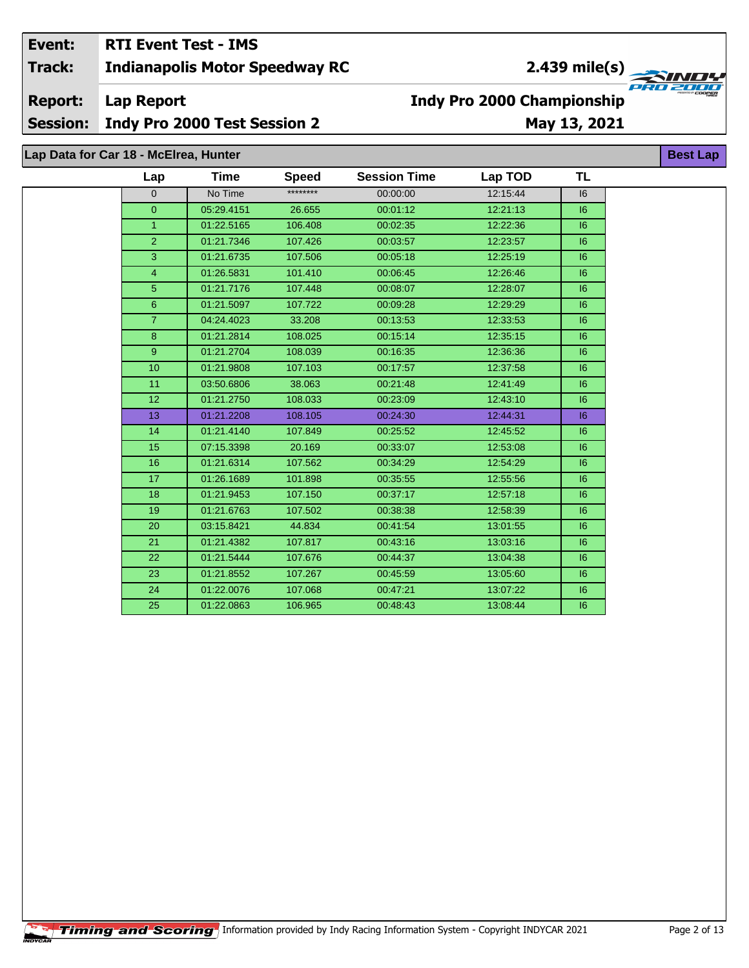## Event: **RTI Event Test - IMS** 2.439 mile(s)  $\overline{a}$ **Indianapolis Motor Speedway RC Track: Report: Lap Report**

# **Indy Pro 2000 Championship**

**Session: Indy Pro 2000 Test Session 2** 

# May 13, 2021

Lap Data for Car 18 - McElrea, Hunter

|  | Lap            | Time       | <b>Speed</b> | <b>Session Time</b> | Lap TOD  | TL |
|--|----------------|------------|--------------|---------------------|----------|----|
|  | $\Omega$       | No Time    | ********     | 00:00:00            | 12:15:44 | 6  |
|  | $\overline{0}$ | 05:29.4151 | 26.655       | 00:01:12            | 12:21:13 | 16 |
|  | $\mathbf{1}$   | 01:22.5165 | 106.408      | 00:02:35            | 12:22:36 | 6  |
|  | $\overline{2}$ | 01:21.7346 | 107.426      | 00:03:57            | 12:23:57 | 16 |
|  | 3              | 01:21.6735 | 107.506      | 00:05:18            | 12:25:19 | 6  |
|  | 4              | 01:26.5831 | 101.410      | 00:06:45            | 12:26:46 | 6  |
|  | 5              | 01:21.7176 | 107.448      | 00:08:07            | 12:28:07 | 6  |
|  | 6              | 01:21.5097 | 107.722      | 00:09:28            | 12:29:29 | 6  |
|  | $\overline{7}$ | 04:24.4023 | 33.208       | 00:13:53            | 12:33:53 | 16 |
|  | 8              | 01:21.2814 | 108.025      | 00:15:14            | 12:35:15 | 6  |
|  | 9              | 01:21.2704 | 108.039      | 00:16:35            | 12:36:36 | 6  |
|  | 10             | 01:21.9808 | 107.103      | 00:17:57            | 12:37:58 | 6  |
|  | 11             | 03:50.6806 | 38.063       | 00:21:48            | 12:41:49 | 6  |
|  | 12             | 01:21.2750 | 108.033      | 00:23:09            | 12:43:10 | 6  |
|  | 13             | 01:21.2208 | 108.105      | 00:24:30            | 12:44:31 | 6  |
|  | 14             | 01:21.4140 | 107.849      | 00:25:52            | 12:45:52 | 16 |
|  | 15             | 07:15.3398 | 20.169       | 00:33:07            | 12:53:08 | 6  |
|  | 16             | 01:21.6314 | 107.562      | 00:34:29            | 12:54:29 | 6  |
|  | 17             | 01:26.1689 | 101.898      | 00:35:55            | 12:55:56 | 6  |
|  | 18             | 01:21.9453 | 107.150      | 00:37:17            | 12:57:18 | 6  |
|  | 19             | 01:21.6763 | 107.502      | 00:38:38            | 12:58:39 | 16 |
|  | 20             | 03:15.8421 | 44.834       | 00:41:54            | 13:01:55 | 6  |
|  | 21             | 01:21.4382 | 107.817      | 00:43:16            | 13:03:16 | 6  |
|  | 22             | 01:21.5444 | 107.676      | 00:44:37            | 13:04:38 | 6  |
|  | 23             | 01:21.8552 | 107.267      | 00:45:59            | 13:05:60 | 6  |
|  | 24             | 01:22.0076 | 107.068      | 00:47:21            | 13:07:22 | 16 |
|  | 25             | 01:22.0863 | 106.965      | 00:48:43            | 13:08:44 | 16 |
|  |                |            |              |                     |          |    |

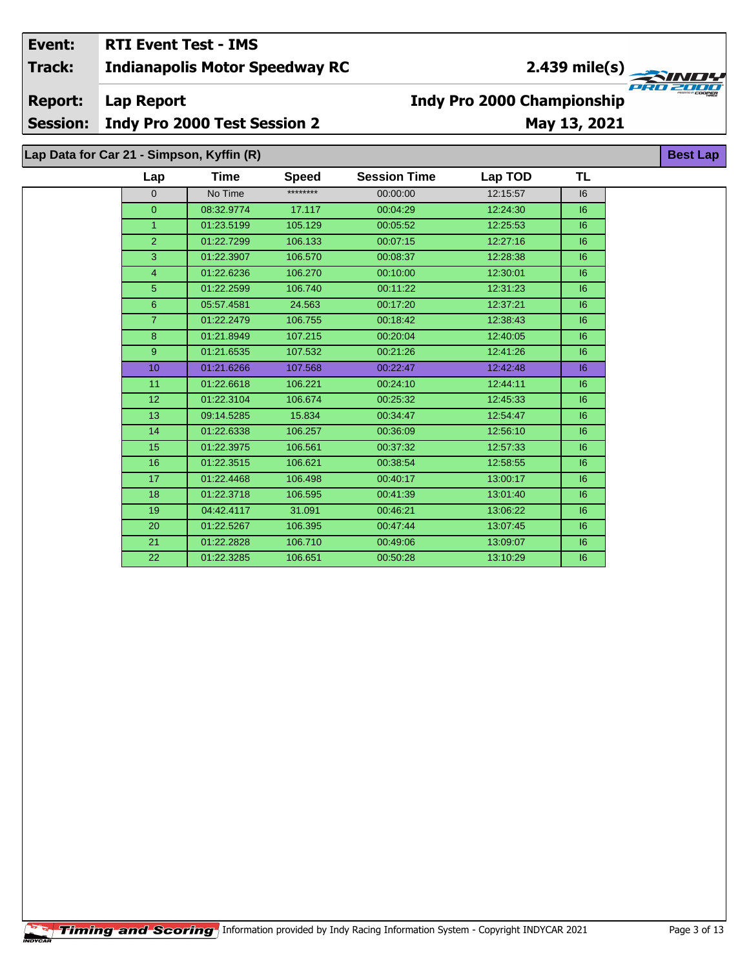**Track:** 

**Report: Lap Report** 

**Session:** Indy Pro 2000 Test Session 2

# May 13, 2021

**Indy Pro 2000 Championship** 

Lap Data for Car 21 - Simpson, Kyffin (R)

| Lap              | Time       | <b>Speed</b> | <b>Session Time</b> | Lap TOD  | <b>TL</b> |
|------------------|------------|--------------|---------------------|----------|-----------|
| $\Omega$         | No Time    | ********     | 00:00:00            | 12:15:57 | 16        |
| $\overline{0}$   | 08:32.9774 | 17.117       | 00:04:29            | 12:24:30 | 6         |
| $\mathbf{1}$     | 01:23.5199 | 105.129      | 00:05:52            | 12:25:53 | 16        |
| $\overline{2}$   | 01:22.7299 | 106.133      | 00:07:15            | 12:27:16 | 6         |
| 3                | 01:22.3907 | 106.570      | 00:08:37            | 12:28:38 | 6         |
| $\overline{4}$   | 01:22.6236 | 106.270      | 00:10:00            | 12:30:01 | 6         |
| 5 <sup>5</sup>   | 01:22.2599 | 106.740      | 00:11:22            | 12:31:23 | 6         |
| $6\overline{6}$  | 05:57.4581 | 24.563       | 00:17:20            | 12:37:21 | 16        |
| $\overline{7}$   | 01:22.2479 | 106.755      | 00:18:42            | 12:38:43 | 6         |
| 8                | 01:21.8949 | 107.215      | 00:20:04            | 12:40:05 | 6         |
| 9                | 01:21.6535 | 107.532      | 00:21:26            | 12:41:26 | 6         |
| 10 <sup>10</sup> | 01:21.6266 | 107.568      | 00:22:47            | 12:42:48 | 6         |
| 11               | 01:22.6618 | 106.221      | 00:24:10            | 12:44:11 | 6         |
| 12               | 01:22.3104 | 106.674      | 00:25:32            | 12:45:33 | 6         |
| 13               | 09:14.5285 | 15.834       | 00:34:47            | 12:54:47 | 6         |
| 14               | 01:22.6338 | 106.257      | 00:36:09            | 12:56:10 | 6         |
| 15               | 01:22.3975 | 106.561      | 00:37:32            | 12:57:33 | 6         |
| 16               | 01:22.3515 | 106.621      | 00:38:54            | 12:58:55 | 16        |
| 17               | 01:22.4468 | 106.498      | 00:40:17            | 13:00:17 | 6         |
| 18               | 01:22.3718 | 106.595      | 00:41:39            | 13:01:40 | 6         |
| 19               | 04:42.4117 | 31.091       | 00:46:21            | 13:06:22 | 6         |
| 20               | 01:22.5267 | 106.395      | 00:47:44            | 13:07:45 | 6         |
| 21               | 01:22.2828 | 106.710      | 00:49:06            | 13:09:07 | 6         |
| 22               | 01:22.3285 | 106.651      | 00:50:28            | 13:10:29 | 6         |

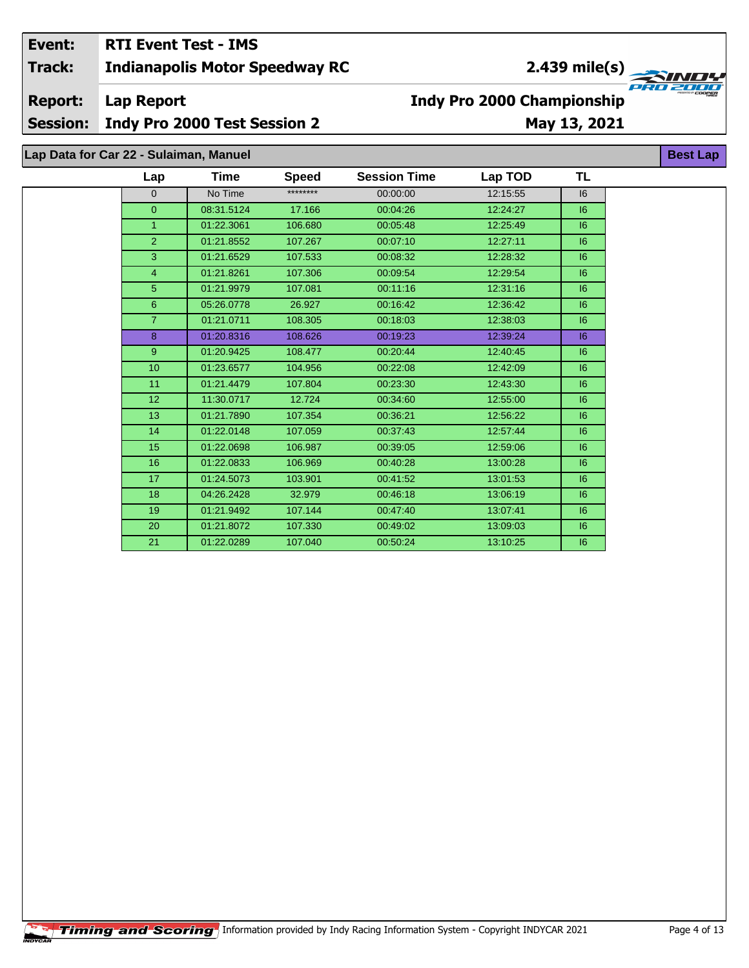2.439 mile(s)

**Best Lap** 

**Report: Lap Report** 

**Session:** Indy Pro 2000 Test Session 2

# **Indy Pro 2000 Championship** May 13, 2021

Lap Data for Car 22 - Sulaiman, Manuel

| Lap            | Time       | <b>Speed</b> | <b>Session Time</b> | Lap TOD  | TL |  |
|----------------|------------|--------------|---------------------|----------|----|--|
| $\mathbf{0}$   | No Time    | ********     | 00:00:00            | 12:15:55 | 6  |  |
| $\overline{0}$ | 08:31.5124 | 17.166       | 00:04:26            | 12:24:27 | 6  |  |
| $\mathbf{1}$   | 01:22.3061 | 106.680      | 00:05:48            | 12:25:49 | 6  |  |
| $\overline{2}$ | 01:21.8552 | 107.267      | 00:07:10            | 12:27:11 | 6  |  |
| 3              | 01:21.6529 | 107.533      | 00:08:32            | 12:28:32 | 6  |  |
| 4              | 01:21.8261 | 107.306      | 00:09:54            | 12:29:54 | 16 |  |
| 5              | 01:21.9979 | 107.081      | 00:11:16            | 12:31:16 | 16 |  |
| $6\phantom{1}$ | 05:26.0778 | 26.927       | 00:16:42            | 12:36:42 | 6  |  |
| $\overline{7}$ | 01:21.0711 | 108.305      | 00:18:03            | 12:38:03 | 6  |  |
| 8              | 01:20.8316 | 108.626      | 00:19:23            | 12:39:24 | 6  |  |
| 9              | 01:20.9425 | 108.477      | 00:20:44            | 12:40:45 | 6  |  |
| 10             | 01:23.6577 | 104.956      | 00:22:08            | 12:42:09 | 6  |  |
| 11             | 01:21.4479 | 107.804      | 00:23:30            | 12:43:30 | 6  |  |
| 12             | 11:30.0717 | 12.724       | 00:34:60            | 12:55:00 | 6  |  |
| 13             | 01:21.7890 | 107.354      | 00:36:21            | 12:56:22 | 16 |  |
| 14             | 01:22.0148 | 107.059      | 00:37:43            | 12:57:44 | 6  |  |
| 15             | 01:22.0698 | 106.987      | 00:39:05            | 12:59:06 | 6  |  |
| 16             | 01:22.0833 | 106.969      | 00:40:28            | 13:00:28 | 6  |  |
| 17             | 01:24.5073 | 103.901      | 00:41:52            | 13:01:53 | 6  |  |
| 18             | 04:26.2428 | 32.979       | 00:46:18            | 13:06:19 | 6  |  |
| 19             | 01:21.9492 | 107.144      | 00:47:40            | 13:07:41 | 6  |  |
| 20             | 01:21.8072 | 107.330      | 00:49:02            | 13:09:03 | 6  |  |
| 21             | 01:22.0289 | 107.040      | 00:50:24            | 13:10:25 | 6  |  |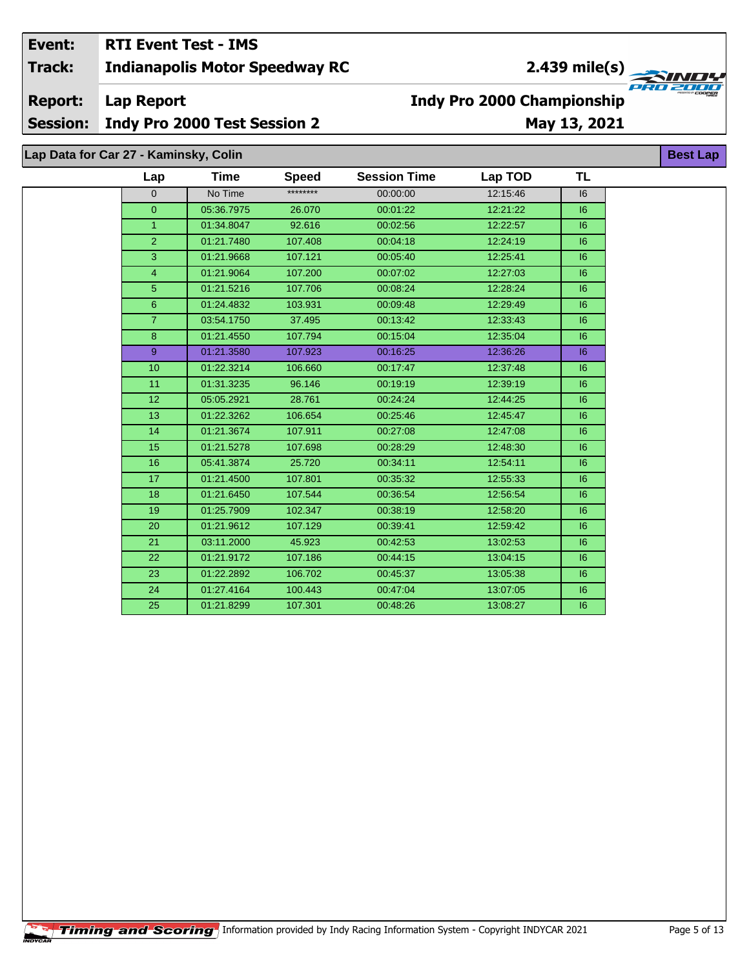2.439 mile(s)

**Report: Lap Report** 

**Session:** Indy Pro 2000 Test Session 2

# May 13, 2021

**Best Lap** 

**Indy Pro 2000 Championship** 

Lap Data for Car 27 - Kaminsky, Colin

| ********<br>No Time<br>00:00:00<br>12:15:46<br>16<br>$\overline{0}$<br>26.070<br>05:36.7975<br>00:01:22<br>12:21:22<br> 6 <br>$\overline{0}$<br>01:34.8047<br>92.616<br>00:02:56<br>12:22:57<br> 6 <br>1<br>$\overline{2}$<br>107.408<br>01:21.7480<br>00:04:18<br>12:24:19<br> 6 <br>3<br>01:21.9668<br>107.121<br>00:05:40<br>12:25:41<br> 6 <br>107.200<br>4<br>01:21.9064<br>00:07:02<br>12:27:03<br>16<br>5<br>01:21.5216<br>107.706<br>00:08:24<br>12:28:24<br> 6 <br>$\,6\,$<br>103.931<br>01:24.4832<br>00:09:48<br>12:29:49<br> 6 <br>$\overline{7}$<br>37.495<br>00:13:42<br>03:54.1750<br>12:33:43<br>16<br>8<br>107.794<br>00:15:04<br> 6 <br>01:21.4550<br>12:35:04<br>9<br>01:21.3580<br>107.923<br>00:16:25<br>12:36:26<br> 6 <br>10<br>106.660<br>00:17:47<br>01:22.3214<br>12:37:48<br> 6 <br>11<br>01:31.3235<br>96.146<br>00:19:19<br>12:39:19<br> 6 <br>12<br>05:05.2921<br>28.761<br>12:44:25<br> 6 <br>00:24:24<br>13<br>106.654<br>01:22.3262<br>00:25:46<br>12:45:47<br> 6 <br>107.911<br>14<br>01:21.3674<br>00:27:08<br>12:47:08<br> 6 <br>15<br>01:21.5278<br>107.698<br>00:28:29<br>12:48:30<br> 6 <br>16<br>25.720<br>00:34:11<br>12:54:11<br>05:41.3874<br> 6 <br>17<br>107.801<br>01:21.4500<br>00:35:32<br>12:55:33<br> 6 <br>18<br>01:21.6450<br>107.544<br>00:36:54<br>12:56:54<br>16<br>19<br>01:25.7909<br>102.347<br>00:38:19<br>12:58:20<br> 6 <br>20<br>01:21.9612<br>107.129<br>00:39:41<br>12:59:42<br> 6 <br>21<br>03:11.2000<br>45.923<br>00:42:53<br>13:02:53<br> 6 <br>22<br>01:21.9172<br>107.186<br>00:44:15<br>13:04:15<br> 6 <br>23<br>106.702<br>01:22.2892<br>00:45:37<br>13:05:38<br> 6 <br>24<br>01:27.4164<br>100.443<br>00:47:04<br>13:07:05<br> 6 <br>25<br>01:21.8299<br>107.301<br>16<br>00:48:26<br>13:08:27 | Lap | <b>Time</b> | <b>Speed</b> | <b>Session Time</b> | Lap TOD | <b>TL</b> |
|-------------------------------------------------------------------------------------------------------------------------------------------------------------------------------------------------------------------------------------------------------------------------------------------------------------------------------------------------------------------------------------------------------------------------------------------------------------------------------------------------------------------------------------------------------------------------------------------------------------------------------------------------------------------------------------------------------------------------------------------------------------------------------------------------------------------------------------------------------------------------------------------------------------------------------------------------------------------------------------------------------------------------------------------------------------------------------------------------------------------------------------------------------------------------------------------------------------------------------------------------------------------------------------------------------------------------------------------------------------------------------------------------------------------------------------------------------------------------------------------------------------------------------------------------------------------------------------------------------------------------------------------------------------------------------------------------------------------------------------------------------------------------|-----|-------------|--------------|---------------------|---------|-----------|
|                                                                                                                                                                                                                                                                                                                                                                                                                                                                                                                                                                                                                                                                                                                                                                                                                                                                                                                                                                                                                                                                                                                                                                                                                                                                                                                                                                                                                                                                                                                                                                                                                                                                                                                                                                         |     |             |              |                     |         |           |
|                                                                                                                                                                                                                                                                                                                                                                                                                                                                                                                                                                                                                                                                                                                                                                                                                                                                                                                                                                                                                                                                                                                                                                                                                                                                                                                                                                                                                                                                                                                                                                                                                                                                                                                                                                         |     |             |              |                     |         |           |
|                                                                                                                                                                                                                                                                                                                                                                                                                                                                                                                                                                                                                                                                                                                                                                                                                                                                                                                                                                                                                                                                                                                                                                                                                                                                                                                                                                                                                                                                                                                                                                                                                                                                                                                                                                         |     |             |              |                     |         |           |
|                                                                                                                                                                                                                                                                                                                                                                                                                                                                                                                                                                                                                                                                                                                                                                                                                                                                                                                                                                                                                                                                                                                                                                                                                                                                                                                                                                                                                                                                                                                                                                                                                                                                                                                                                                         |     |             |              |                     |         |           |
|                                                                                                                                                                                                                                                                                                                                                                                                                                                                                                                                                                                                                                                                                                                                                                                                                                                                                                                                                                                                                                                                                                                                                                                                                                                                                                                                                                                                                                                                                                                                                                                                                                                                                                                                                                         |     |             |              |                     |         |           |
|                                                                                                                                                                                                                                                                                                                                                                                                                                                                                                                                                                                                                                                                                                                                                                                                                                                                                                                                                                                                                                                                                                                                                                                                                                                                                                                                                                                                                                                                                                                                                                                                                                                                                                                                                                         |     |             |              |                     |         |           |
|                                                                                                                                                                                                                                                                                                                                                                                                                                                                                                                                                                                                                                                                                                                                                                                                                                                                                                                                                                                                                                                                                                                                                                                                                                                                                                                                                                                                                                                                                                                                                                                                                                                                                                                                                                         |     |             |              |                     |         |           |
|                                                                                                                                                                                                                                                                                                                                                                                                                                                                                                                                                                                                                                                                                                                                                                                                                                                                                                                                                                                                                                                                                                                                                                                                                                                                                                                                                                                                                                                                                                                                                                                                                                                                                                                                                                         |     |             |              |                     |         |           |
|                                                                                                                                                                                                                                                                                                                                                                                                                                                                                                                                                                                                                                                                                                                                                                                                                                                                                                                                                                                                                                                                                                                                                                                                                                                                                                                                                                                                                                                                                                                                                                                                                                                                                                                                                                         |     |             |              |                     |         |           |
|                                                                                                                                                                                                                                                                                                                                                                                                                                                                                                                                                                                                                                                                                                                                                                                                                                                                                                                                                                                                                                                                                                                                                                                                                                                                                                                                                                                                                                                                                                                                                                                                                                                                                                                                                                         |     |             |              |                     |         |           |
|                                                                                                                                                                                                                                                                                                                                                                                                                                                                                                                                                                                                                                                                                                                                                                                                                                                                                                                                                                                                                                                                                                                                                                                                                                                                                                                                                                                                                                                                                                                                                                                                                                                                                                                                                                         |     |             |              |                     |         |           |
|                                                                                                                                                                                                                                                                                                                                                                                                                                                                                                                                                                                                                                                                                                                                                                                                                                                                                                                                                                                                                                                                                                                                                                                                                                                                                                                                                                                                                                                                                                                                                                                                                                                                                                                                                                         |     |             |              |                     |         |           |
|                                                                                                                                                                                                                                                                                                                                                                                                                                                                                                                                                                                                                                                                                                                                                                                                                                                                                                                                                                                                                                                                                                                                                                                                                                                                                                                                                                                                                                                                                                                                                                                                                                                                                                                                                                         |     |             |              |                     |         |           |
|                                                                                                                                                                                                                                                                                                                                                                                                                                                                                                                                                                                                                                                                                                                                                                                                                                                                                                                                                                                                                                                                                                                                                                                                                                                                                                                                                                                                                                                                                                                                                                                                                                                                                                                                                                         |     |             |              |                     |         |           |
|                                                                                                                                                                                                                                                                                                                                                                                                                                                                                                                                                                                                                                                                                                                                                                                                                                                                                                                                                                                                                                                                                                                                                                                                                                                                                                                                                                                                                                                                                                                                                                                                                                                                                                                                                                         |     |             |              |                     |         |           |
|                                                                                                                                                                                                                                                                                                                                                                                                                                                                                                                                                                                                                                                                                                                                                                                                                                                                                                                                                                                                                                                                                                                                                                                                                                                                                                                                                                                                                                                                                                                                                                                                                                                                                                                                                                         |     |             |              |                     |         |           |
|                                                                                                                                                                                                                                                                                                                                                                                                                                                                                                                                                                                                                                                                                                                                                                                                                                                                                                                                                                                                                                                                                                                                                                                                                                                                                                                                                                                                                                                                                                                                                                                                                                                                                                                                                                         |     |             |              |                     |         |           |
|                                                                                                                                                                                                                                                                                                                                                                                                                                                                                                                                                                                                                                                                                                                                                                                                                                                                                                                                                                                                                                                                                                                                                                                                                                                                                                                                                                                                                                                                                                                                                                                                                                                                                                                                                                         |     |             |              |                     |         |           |
|                                                                                                                                                                                                                                                                                                                                                                                                                                                                                                                                                                                                                                                                                                                                                                                                                                                                                                                                                                                                                                                                                                                                                                                                                                                                                                                                                                                                                                                                                                                                                                                                                                                                                                                                                                         |     |             |              |                     |         |           |
|                                                                                                                                                                                                                                                                                                                                                                                                                                                                                                                                                                                                                                                                                                                                                                                                                                                                                                                                                                                                                                                                                                                                                                                                                                                                                                                                                                                                                                                                                                                                                                                                                                                                                                                                                                         |     |             |              |                     |         |           |
|                                                                                                                                                                                                                                                                                                                                                                                                                                                                                                                                                                                                                                                                                                                                                                                                                                                                                                                                                                                                                                                                                                                                                                                                                                                                                                                                                                                                                                                                                                                                                                                                                                                                                                                                                                         |     |             |              |                     |         |           |
|                                                                                                                                                                                                                                                                                                                                                                                                                                                                                                                                                                                                                                                                                                                                                                                                                                                                                                                                                                                                                                                                                                                                                                                                                                                                                                                                                                                                                                                                                                                                                                                                                                                                                                                                                                         |     |             |              |                     |         |           |
|                                                                                                                                                                                                                                                                                                                                                                                                                                                                                                                                                                                                                                                                                                                                                                                                                                                                                                                                                                                                                                                                                                                                                                                                                                                                                                                                                                                                                                                                                                                                                                                                                                                                                                                                                                         |     |             |              |                     |         |           |
|                                                                                                                                                                                                                                                                                                                                                                                                                                                                                                                                                                                                                                                                                                                                                                                                                                                                                                                                                                                                                                                                                                                                                                                                                                                                                                                                                                                                                                                                                                                                                                                                                                                                                                                                                                         |     |             |              |                     |         |           |
|                                                                                                                                                                                                                                                                                                                                                                                                                                                                                                                                                                                                                                                                                                                                                                                                                                                                                                                                                                                                                                                                                                                                                                                                                                                                                                                                                                                                                                                                                                                                                                                                                                                                                                                                                                         |     |             |              |                     |         |           |
|                                                                                                                                                                                                                                                                                                                                                                                                                                                                                                                                                                                                                                                                                                                                                                                                                                                                                                                                                                                                                                                                                                                                                                                                                                                                                                                                                                                                                                                                                                                                                                                                                                                                                                                                                                         |     |             |              |                     |         |           |
|                                                                                                                                                                                                                                                                                                                                                                                                                                                                                                                                                                                                                                                                                                                                                                                                                                                                                                                                                                                                                                                                                                                                                                                                                                                                                                                                                                                                                                                                                                                                                                                                                                                                                                                                                                         |     |             |              |                     |         |           |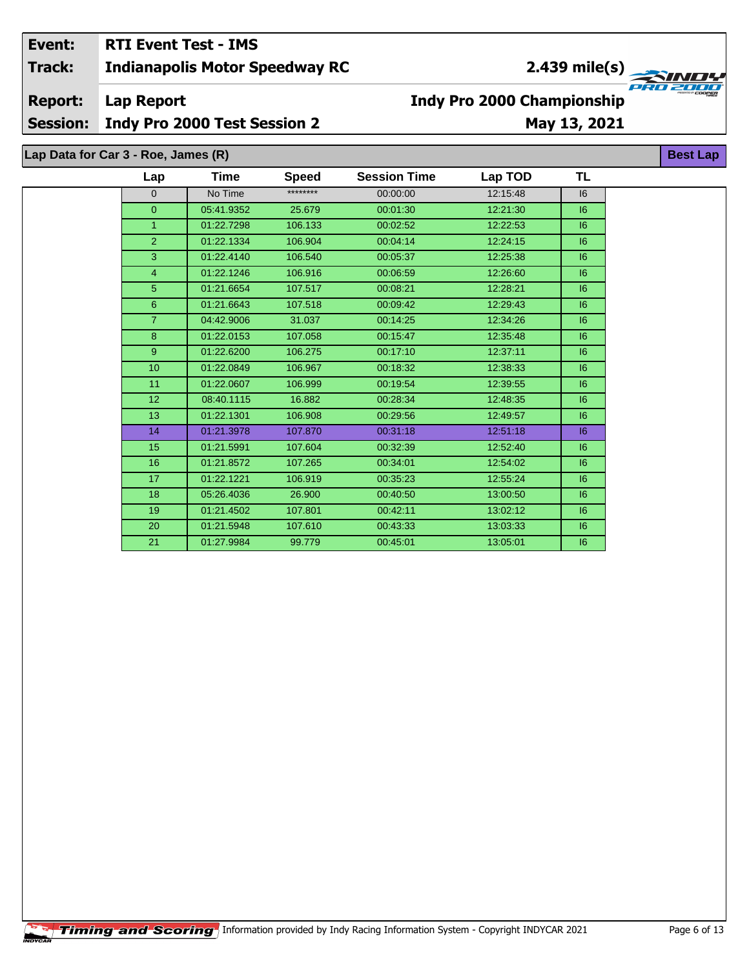## **Indianapolis Motor Speedway RC Lap Report Event: RTI Event Test - IMS Track: Report: Indy Pro 2000 Championship 2.439 mile(s)**

**Session: Indy Pro 2000 Test Session 2**

# **May 13, 2021**

**Lap Data for Car 3 - Roe, James (R)**

| Lap            | Time       | <b>Speed</b> | <b>Session Time</b> | Lap TOD  | TL |  |
|----------------|------------|--------------|---------------------|----------|----|--|
| $\mathbf 0$    | No Time    | ********     | 00:00:00            | 12:15:48 | 16 |  |
| $\overline{0}$ | 05:41.9352 | 25.679       | 00:01:30            | 12:21:30 | 6  |  |
| $\mathbf{1}$   | 01:22.7298 | 106.133      | 00:02:52            | 12:22:53 | 6  |  |
| $\overline{2}$ | 01:22.1334 | 106.904      | 00:04:14            | 12:24:15 | 6  |  |
| 3              | 01:22.4140 | 106.540      | 00:05:37            | 12:25:38 | 6  |  |
| $\overline{4}$ | 01:22.1246 | 106.916      | 00:06:59            | 12:26:60 | 6  |  |
| 5              | 01:21.6654 | 107.517      | 00:08:21            | 12:28:21 | 6  |  |
| $6\phantom{1}$ | 01:21.6643 | 107.518      | 00:09:42            | 12:29:43 | 16 |  |
| $\overline{7}$ | 04:42.9006 | 31.037       | 00:14:25            | 12:34:26 | 16 |  |
| 8              | 01:22.0153 | 107.058      | 00:15:47            | 12:35:48 | 16 |  |
| 9              | 01:22.6200 | 106.275      | 00:17:10            | 12:37:11 | 6  |  |
| 10             | 01:22.0849 | 106.967      | 00:18:32            | 12:38:33 | 6  |  |
| 11             | 01:22.0607 | 106.999      | 00:19:54            | 12:39:55 | 6  |  |
| 12             | 08:40.1115 | 16.882       | 00:28:34            | 12:48:35 | 6  |  |
| 13             | 01:22.1301 | 106.908      | 00:29:56            | 12:49:57 | 6  |  |
| 14             | 01:21.3978 | 107.870      | 00:31:18            | 12:51:18 | 6  |  |
| 15             | 01:21.5991 | 107.604      | 00:32:39            | 12:52:40 | 6  |  |
| 16             | 01:21.8572 | 107.265      | 00:34:01            | 12:54:02 | 6  |  |
| 17             | 01:22.1221 | 106.919      | 00:35:23            | 12:55:24 | 6  |  |
| 18             | 05:26.4036 | 26.900       | 00:40:50            | 13:00:50 | 6  |  |
| 19             | 01:21.4502 | 107.801      | 00:42:11            | 13:02:12 | 6  |  |
| 20             | 01:21.5948 | 107.610      | 00:43:33            | 13:03:33 | 6  |  |
| 21             | 01:27.9984 | 99.779       | 00:45:01            | 13:05:01 | 6  |  |

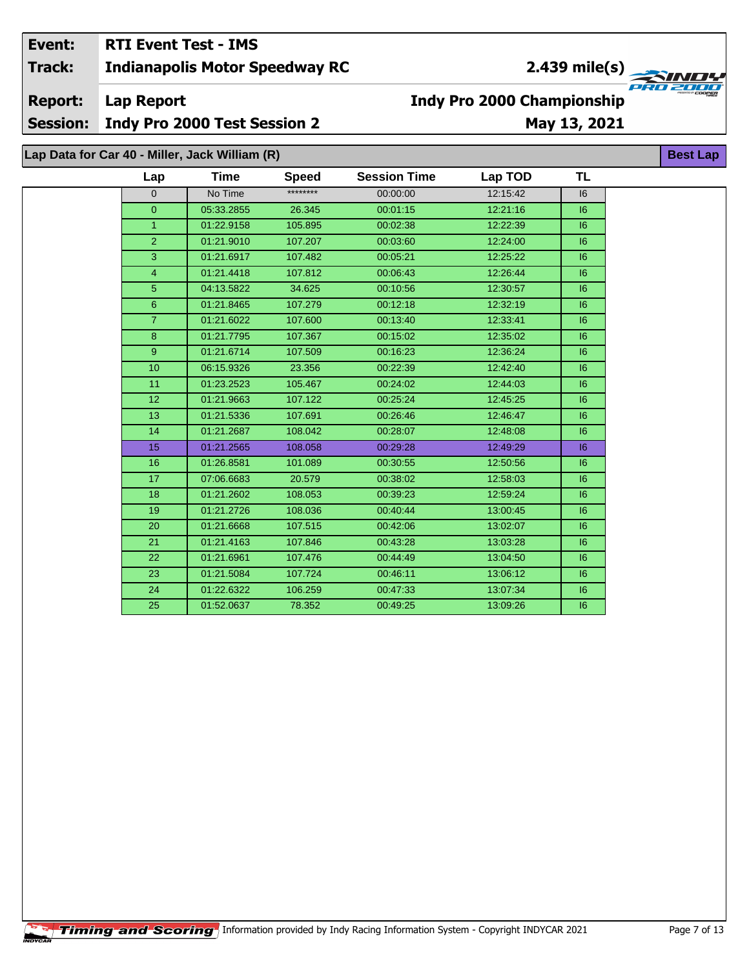# **Indy Pro 2000 Championship**

**Session:** Indy Pro 2000 Test Session 2

# May 13, 2021

Lap Data for Car 40 - Miller, Jack William (R)

**Lap Report** 

| Lap            | <b>Time</b> | <b>Speed</b> | <b>Session Time</b> | Lap TOD  | <b>TL</b> |
|----------------|-------------|--------------|---------------------|----------|-----------|
| $\Omega$       | No Time     | ********     | 00:00:00            | 12:15:42 | 6         |
| $\overline{0}$ | 05:33.2855  | 26.345       | 00:01:15            | 12:21:16 | 6         |
| $\mathbf{1}$   | 01:22.9158  | 105.895      | 00:02:38            | 12:22:39 | 6         |
| $\overline{2}$ | 01:21.9010  | 107.207      | 00:03:60            | 12:24:00 | 6         |
| $\overline{3}$ | 01:21.6917  | 107.482      | 00:05:21            | 12:25:22 | 16        |
| 4              | 01:21.4418  | 107.812      | 00:06:43            | 12:26:44 | 6         |
| 5              | 04:13.5822  | 34.625       | 00:10:56            | 12:30:57 | 6         |
| 6              | 01:21.8465  | 107.279      | 00:12:18            | 12:32:19 | 6         |
| $\overline{7}$ | 01:21.6022  | 107.600      | 00:13:40            | 12:33:41 | 6         |
| 8              | 01:21.7795  | 107.367      | 00:15:02            | 12:35:02 | 6         |
| 9              | 01:21.6714  | 107.509      | 00:16:23            | 12:36:24 | 6         |
| 10             | 06:15.9326  | 23.356       | 00:22:39            | 12:42:40 | 6         |
| 11             | 01:23.2523  | 105.467      | 00:24:02            | 12:44:03 | 6         |
| 12             | 01:21.9663  | 107.122      | 00:25:24            | 12:45:25 | 6         |
| 13             | 01:21.5336  | 107.691      | 00:26:46            | 12:46:47 | 6         |
| 14             | 01:21.2687  | 108.042      | 00:28:07            | 12:48:08 | 6         |
| 15             | 01:21.2565  | 108.058      | 00:29:28            | 12:49:29 | 6         |
| 16             | 01:26.8581  | 101.089      | 00:30:55            | 12:50:56 | 6         |
| 17             | 07:06.6683  | 20.579       | 00:38:02            | 12:58:03 | 6         |
| 18             | 01:21.2602  | 108.053      | 00:39:23            | 12:59:24 | 6         |
| 19             | 01:21.2726  | 108.036      | 00:40:44            | 13:00:45 | 16        |
| 20             | 01:21.6668  | 107.515      | 00:42:06            | 13:02:07 | 6         |
| 21             | 01:21.4163  | 107.846      | 00:43:28            | 13:03:28 | 6         |
| 22             | 01:21.6961  | 107.476      | 00:44:49            | 13:04:50 | 16        |
| 23             | 01:21.5084  | 107.724      | 00:46:11            | 13:06:12 | 6         |
| 24             | 01:22.6322  | 106.259      | 00:47:33            | 13:07:34 | 16        |
| 25             | 01:52.0637  | 78.352       | 00:49:25            | 13:09:26 | 16        |
|                |             |              |                     |          |           |



**Best Lap** 

**Report:**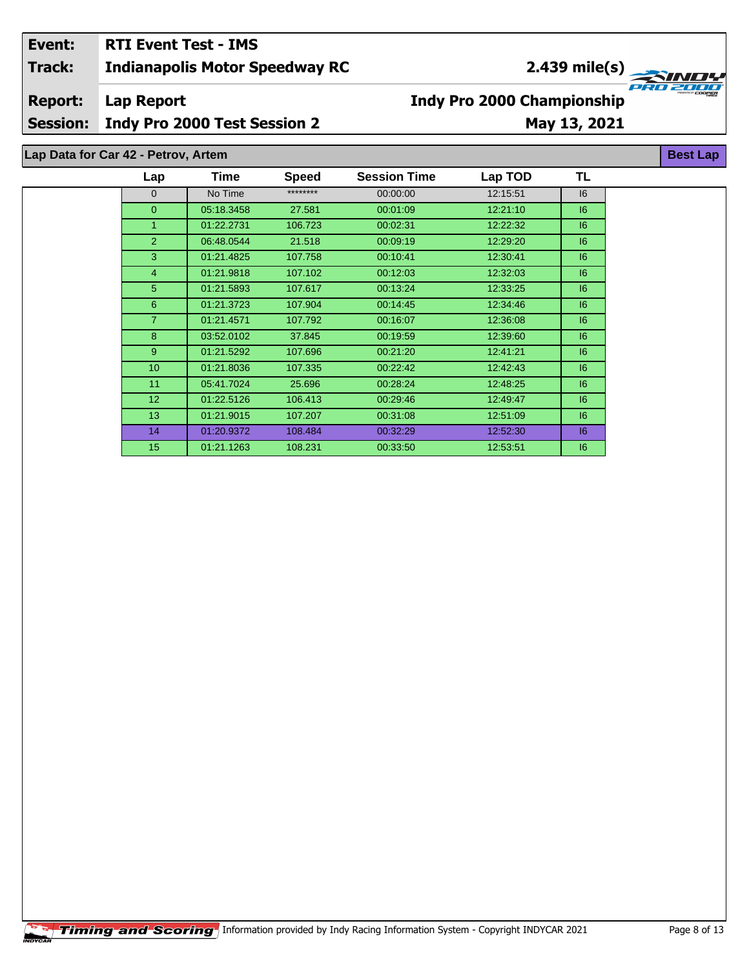## **Indianapolis Motor Speedway RC Lap Report May 13, 2021 Event: RTI Event Test - IMS Track: Report: Session: Indy Pro 2000 Test Session 2 Indy Pro 2000 Championship 2.439 mile(s)**

**Lap Data for Car 42 - Petrov, Artem**

| Lap             | Time       | <b>Speed</b> | <b>Session Time</b> | Lap TOD  | TL |
|-----------------|------------|--------------|---------------------|----------|----|
| $\mathbf{0}$    | No Time    | ********     | 00:00:00            | 12:15:51 | 16 |
| $\mathbf{0}$    | 05:18.3458 | 27.581       | 00:01:09            | 12:21:10 | 16 |
| 1               | 01:22.2731 | 106.723      | 00:02:31            | 12:22:32 | 6  |
| $\overline{2}$  | 06:48.0544 | 21.518       | 00:09:19            | 12:29:20 | 6  |
| 3               | 01:21.4825 | 107.758      | 00:10:41            | 12:30:41 | 6  |
| $\overline{4}$  | 01:21.9818 | 107.102      | 00:12:03            | 12:32:03 | 6  |
| 5               | 01:21.5893 | 107.617      | 00:13:24            | 12:33:25 | 6  |
| 6               | 01:21.3723 | 107.904      | 00:14:45            | 12:34:46 | 6  |
| $\overline{7}$  | 01:21.4571 | 107.792      | 00:16:07            | 12:36:08 | 6  |
| 8               | 03:52.0102 | 37.845       | 00:19:59            | 12:39:60 | 6  |
| 9               | 01:21.5292 | 107.696      | 00:21:20            | 12:41:21 | 6  |
| 10              | 01:21.8036 | 107.335      | 00:22:42            | 12:42:43 | 6  |
| 11              | 05:41.7024 | 25.696       | 00:28:24            | 12:48:25 | 6  |
| 12 <sup>2</sup> | 01:22.5126 | 106.413      | 00:29:46            | 12:49:47 | 6  |
| 13              | 01:21.9015 | 107.207      | 00:31:08            | 12:51:09 | 6  |
| 14              | 01:20.9372 | 108.484      | 00:32:29            | 12:52:30 | 6  |
| 15              | 01:21.1263 | 108.231      | 00:33:50            | 12:53:51 | 6  |

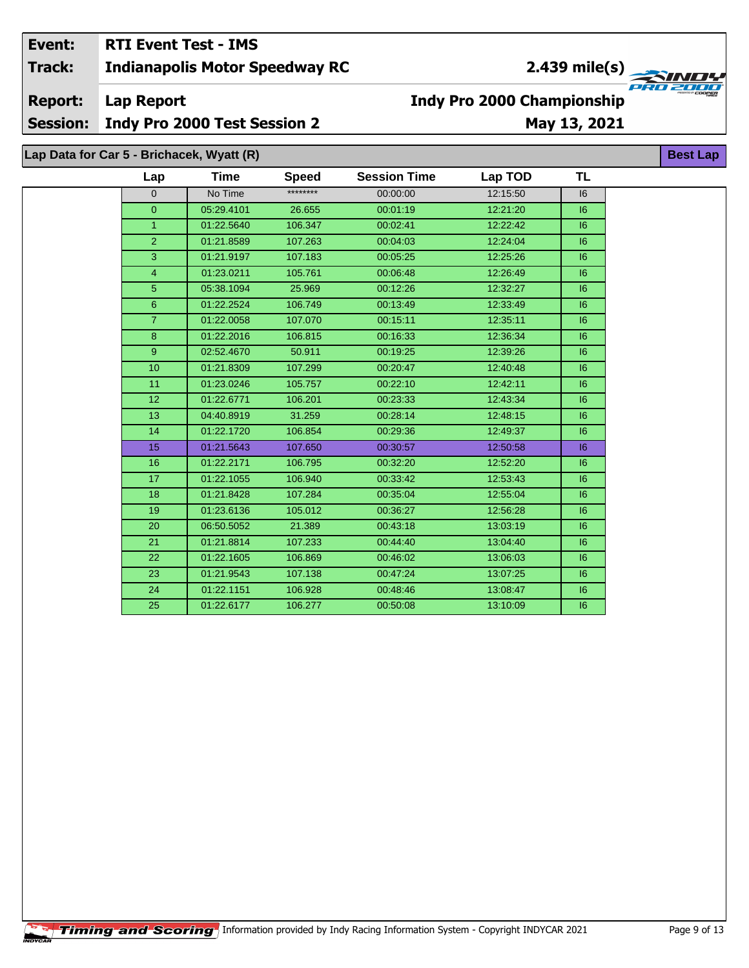# 2.439 mile(s)

**Best Lap** 

**Report: Lap Report** 

**Session:** Indy Pro 2000 Test Session 2

## May 13, 2021

**Indy Pro 2000 Championship** 

## Lap Data for Car 5 - Brichacek, Wyatt (R)

| Lap             | <b>Time</b> | <b>Speed</b> | <b>Session Time</b> | Lap TOD  | <b>TL</b> |
|-----------------|-------------|--------------|---------------------|----------|-----------|
| $\overline{0}$  | No Time     | ********     | 00:00:00            | 12:15:50 | 6         |
| $\pmb{0}$       | 05:29.4101  | 26.655       | 00:01:19            | 12:21:20 | 16        |
| $\mathbf{1}$    | 01:22.5640  | 106.347      | 00:02:41            | 12:22:42 | 16        |
| $\overline{2}$  | 01:21.8589  | 107.263      | 00:04:03            | 12:24:04 | 6         |
| 3               | 01:21.9197  | 107.183      | 00:05:25            | 12:25:26 | 6         |
| $\overline{4}$  | 01:23.0211  | 105.761      | 00:06:48            | 12:26:49 | 16        |
| $\overline{5}$  | 05:38.1094  | 25.969       | 00:12:26            | 12:32:27 | 6         |
| $\overline{6}$  | 01:22.2524  | 106.749      | 00:13:49            | 12:33:49 | 6         |
| $\overline{7}$  | 01:22.0058  | 107.070      | 00:15:11            | 12:35:11 | 6         |
| $\bf{8}$        | 01:22.2016  | 106.815      | 00:16:33            | 12:36:34 | 6         |
| $\overline{9}$  | 02:52.4670  | 50.911       | 00:19:25            | 12:39:26 | 6         |
| 10              | 01:21.8309  | 107.299      | 00:20:47            | 12:40:48 | 6         |
| 11              | 01:23.0246  | 105.757      | 00:22:10            | 12:42:11 | 6         |
| 12 <sup>2</sup> | 01:22.6771  | 106.201      | 00:23:33            | 12:43:34 | 6         |
| 13              | 04:40.8919  | 31.259       | 00:28:14            | 12:48:15 | 6         |
| 14              | 01:22.1720  | 106.854      | 00:29:36            | 12:49:37 | 6         |
| 15              | 01:21.5643  | 107.650      | 00:30:57            | 12:50:58 | 6         |
| 16              | 01:22.2171  | 106.795      | 00:32:20            | 12:52:20 | 6         |
| 17 <sub>2</sub> | 01:22.1055  | 106.940      | 00:33:42            | 12:53:43 | 6         |
| 18              | 01:21.8428  | 107.284      | 00:35:04            | 12:55:04 | 6         |
| 19              | 01:23.6136  | 105.012      | 00:36:27            | 12:56:28 | 6         |
| 20              | 06:50.5052  | 21.389       | 00:43:18            | 13:03:19 | 16        |
| 21              | 01:21.8814  | 107.233      | 00:44:40            | 13:04:40 | 6         |
| 22              | 01:22.1605  | 106.869      | 00:46:02            | 13:06:03 | 6         |
| 23              | 01:21.9543  | 107.138      | 00:47:24            | 13:07:25 | 16        |
| 24              | 01:22.1151  | 106.928      | 00:48:46            | 13:08:47 | 6         |
| 25              | 01:22.6177  | 106.277      | 00:50:08            | 13:10:09 | 6         |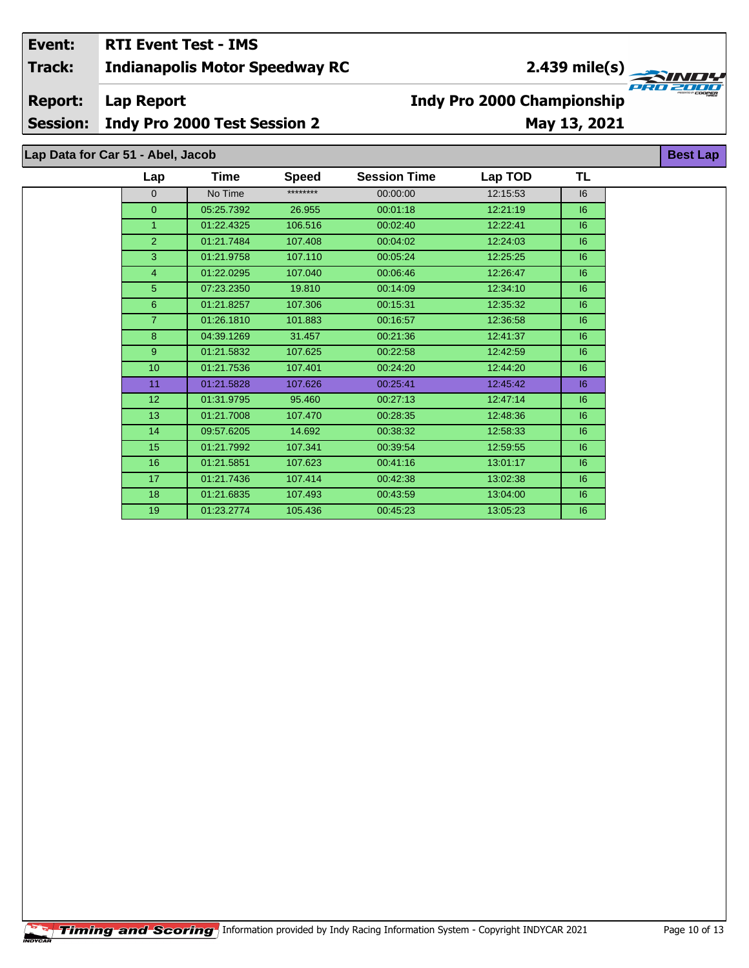## **Indianapolis Motor Speedway RC Event: RTI Event Test - IMS Track:**

**Lap Report Report:**

**Session: Indy Pro 2000 Test Session 2**

# **May 13, 2021**

**Indy Pro 2000 Championship**

**Lap Data for Car 51 - Abel, Jacob**

| Lap             | Time       | <b>Speed</b> | <b>Session Time</b> | Lap TOD  | TL |  |
|-----------------|------------|--------------|---------------------|----------|----|--|
| $\mathbf{0}$    | No Time    | ********     | 00:00:00            | 12:15:53 | 6  |  |
| $\overline{0}$  | 05:25.7392 | 26.955       | 00:01:18            | 12:21:19 | 6  |  |
| 1               | 01:22.4325 | 106.516      | 00:02:40            | 12:22:41 | 16 |  |
| $\overline{2}$  | 01:21.7484 | 107.408      | 00:04:02            | 12:24:03 | 6  |  |
| 3               | 01:21.9758 | 107.110      | 00:05:24            | 12:25:25 | 6  |  |
| $\overline{4}$  | 01:22.0295 | 107.040      | 00:06:46            | 12:26:47 | 6  |  |
| 5               | 07:23.2350 | 19.810       | 00:14:09            | 12:34:10 | 16 |  |
| $6\phantom{1}$  | 01:21.8257 | 107.306      | 00:15:31            | 12:35:32 | 6  |  |
| $\overline{7}$  | 01:26.1810 | 101.883      | 00:16:57            | 12:36:58 | 16 |  |
| 8               | 04:39.1269 | 31.457       | 00:21:36            | 12:41:37 | 6  |  |
| 9               | 01:21.5832 | 107.625      | 00:22:58            | 12:42:59 | 6  |  |
| 10              | 01:21.7536 | 107.401      | 00:24:20            | 12:44:20 | 16 |  |
| 11              | 01:21.5828 | 107.626      | 00:25:41            | 12:45:42 | 16 |  |
| 12 <sup>2</sup> | 01:31.9795 | 95.460       | 00:27:13            | 12:47:14 | 6  |  |
| 13              | 01:21.7008 | 107.470      | 00:28:35            | 12:48:36 | 6  |  |
| 14              | 09:57.6205 | 14.692       | 00:38:32            | 12:58:33 | 6  |  |
| 15              | 01:21.7992 | 107.341      | 00:39:54            | 12:59:55 | 6  |  |
| 16              | 01:21.5851 | 107.623      | 00:41:16            | 13:01:17 | 6  |  |
| 17              | 01:21.7436 | 107.414      | 00:42:38            | 13:02:38 | 6  |  |
| 18              | 01:21.6835 | 107.493      | 00:43:59            | 13:04:00 | 6  |  |
| 19              | 01:23.2774 | 105.436      | 00:45:23            | 13:05:23 | 6  |  |

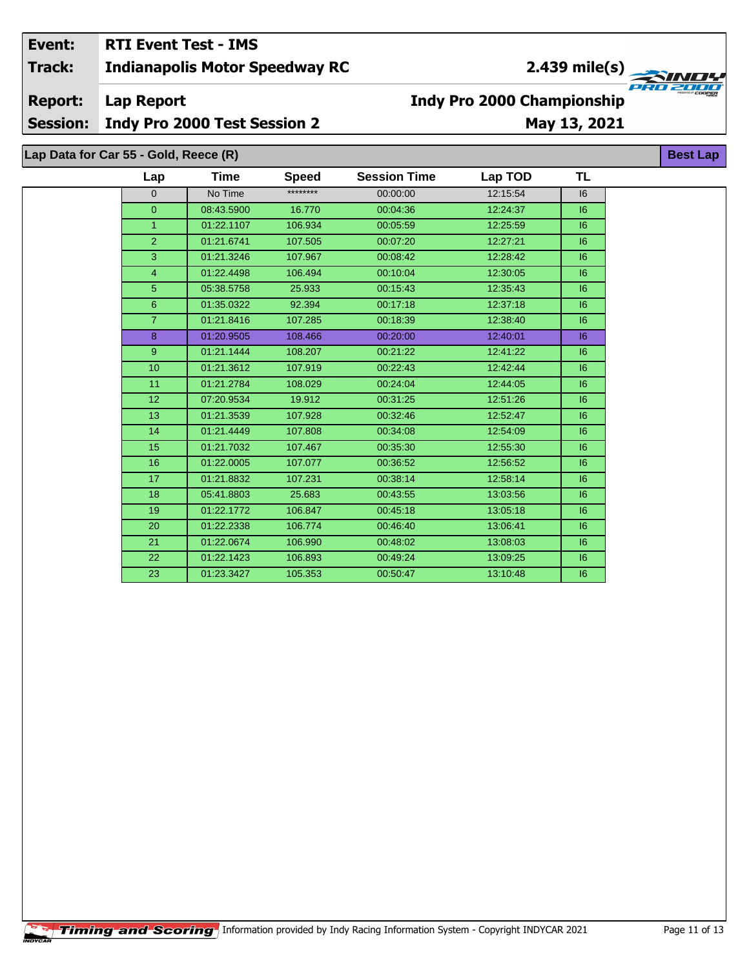2.439 mile(s)

**Report:** 

**Lap Report** 

Session: Indy Pro 2000 Test Session 2

# May 13, 2021

**Best Lap** 

**Indy Pro 2000 Championship** 

Lap Data for Car 55 - Gold, Reece (R)

| Lap             | Time       | Speed    | <b>Session Time</b> | Lap TOD  | TL |
|-----------------|------------|----------|---------------------|----------|----|
| $\Omega$        | No Time    | ******** | 00:00:00            | 12:15:54 | 16 |
| $\overline{0}$  | 08:43.5900 | 16.770   | 00:04:36            | 12:24:37 | 6  |
| $\mathbf{1}$    | 01:22.1107 | 106.934  | 00:05:59            | 12:25:59 | 6  |
| $\overline{2}$  | 01:21.6741 | 107.505  | 00:07:20            | 12:27:21 | 6  |
| 3               | 01:21.3246 | 107.967  | 00:08:42            | 12:28:42 | 6  |
| $\overline{4}$  | 01:22.4498 | 106.494  | 00:10:04            | 12:30:05 | 6  |
| 5               | 05:38.5758 | 25.933   | 00:15:43            | 12:35:43 | 6  |
| 6               | 01:35.0322 | 92.394   | 00:17:18            | 12:37:18 | 6  |
| $\overline{7}$  | 01:21.8416 | 107.285  | 00:18:39            | 12:38:40 | 6  |
| 8               | 01:20.9505 | 108.466  | 00:20:00            | 12:40:01 | 6  |
| 9               | 01:21.1444 | 108.207  | 00:21:22            | 12:41:22 | 6  |
| 10              | 01:21.3612 | 107.919  | 00:22:43            | 12:42:44 | 6  |
| 11              | 01:21.2784 | 108.029  | 00:24:04            | 12:44:05 | 6  |
| 12 <sup>°</sup> | 07:20.9534 | 19.912   | 00:31:25            | 12:51:26 | 16 |
| 13              | 01:21.3539 | 107.928  | 00:32:46            | 12:52:47 | 6  |
| 14              | 01:21.4449 | 107.808  | 00:34:08            | 12:54:09 | 6  |
| 15              | 01:21.7032 | 107.467  | 00:35:30            | 12:55:30 | 6  |
| 16              | 01:22.0005 | 107.077  | 00:36:52            | 12:56:52 | 6  |
| 17              | 01:21.8832 | 107.231  | 00:38:14            | 12:58:14 | 6  |
| 18              | 05:41.8803 | 25.683   | 00:43:55            | 13:03:56 | 6  |
| 19              | 01:22.1772 | 106.847  | 00:45:18            | 13:05:18 | 6  |
| 20              | 01:22.2338 | 106.774  | 00:46:40            | 13:06:41 | 6  |
| 21              | 01:22.0674 | 106.990  | 00:48:02            | 13:08:03 | 6  |
| 22              | 01:22.1423 | 106.893  | 00:49:24            | 13:09:25 | 16 |
| 23              | 01:23.3427 | 105.353  | 00:50:47            | 13:10:48 | 6  |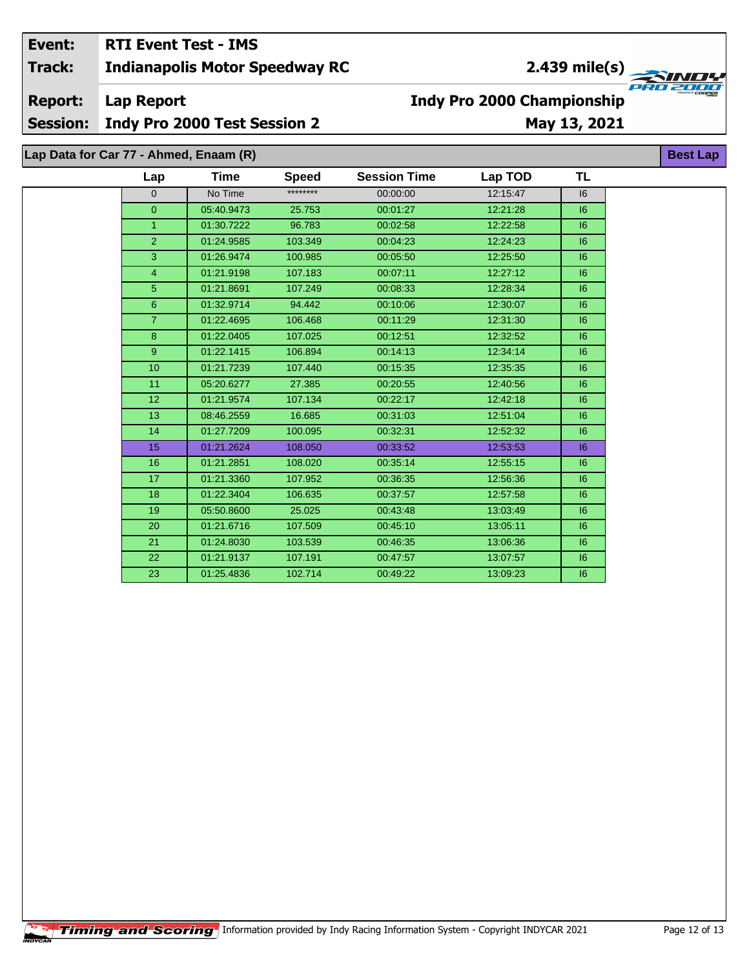**Report: Lap Report** 

**Session:** Indy Pro 2000 Test Session 2

# May 13, 2021

**Indy Pro 2000 Championship** 

Lap Data for Car 77 - Ahmed, Enaam (R)

| Lap            | Time       | <b>Speed</b> | <b>Session Time</b> | Lap TOD  | TL |
|----------------|------------|--------------|---------------------|----------|----|
| $\Omega$       | No Time    | ********     | 00:00:00            | 12:15:47 | 16 |
| $\overline{0}$ | 05:40.9473 | 25.753       | 00:01:27            | 12:21:28 | 6  |
| $\mathbf{1}$   | 01:30.7222 | 96.783       | 00:02:58            | 12:22:58 | 6  |
| $\overline{2}$ | 01:24.9585 | 103.349      | 00:04:23            | 12:24:23 | 6  |
| 3              | 01:26.9474 | 100.985      | 00:05:50            | 12:25:50 | 6  |
| $\overline{4}$ | 01:21.9198 | 107.183      | 00:07:11            | 12:27:12 | 6  |
| 5 <sup>5</sup> | 01:21.8691 | 107.249      | 00:08:33            | 12:28:34 | 6  |
| 6              | 01:32.9714 | 94.442       | 00:10:06            | 12:30:07 | 6  |
| $\overline{7}$ | 01:22.4695 | 106.468      | 00:11:29            | 12:31:30 | 6  |
| 8              | 01:22.0405 | 107.025      | 00:12:51            | 12:32:52 | 6  |
| 9              | 01:22.1415 | 106.894      | 00:14:13            | 12:34:14 | 6  |
| 10             | 01:21.7239 | 107.440      | 00:15:35            | 12:35:35 | 16 |
| 11             | 05:20.6277 | 27.385       | 00:20:55            | 12:40:56 | 16 |
| 12             | 01:21.9574 | 107.134      | 00:22:17            | 12:42:18 | 6  |
| 13             | 08:46.2559 | 16.685       | 00:31:03            | 12:51:04 | 6  |
| 14             | 01:27.7209 | 100.095      | 00:32:31            | 12:52:32 | 16 |
| 15             | 01:21.2624 | 108.050      | 00:33:52            | 12:53:53 | 6  |
| 16             | 01:21.2851 | 108.020      | 00:35:14            | 12:55:15 | 6  |
| 17             | 01:21.3360 | 107.952      | 00:36:35            | 12:56:36 | 6  |
| 18             | 01:22.3404 | 106.635      | 00:37:57            | 12:57:58 | 16 |
| 19             | 05:50.8600 | 25.025       | 00:43:48            | 13:03:49 | 6  |
| 20             | 01:21.6716 | 107.509      | 00:45:10            | 13:05:11 | 6  |
| 21             | 01:24.8030 | 103.539      | 00:46:35            | 13:06:36 | 6  |
| 22             | 01:21.9137 | 107.191      | 00:47:57            | 13:07:57 | 16 |
| 23             | 01:25.4836 | 102.714      | 00:49:22            | 13:09:23 | 16 |